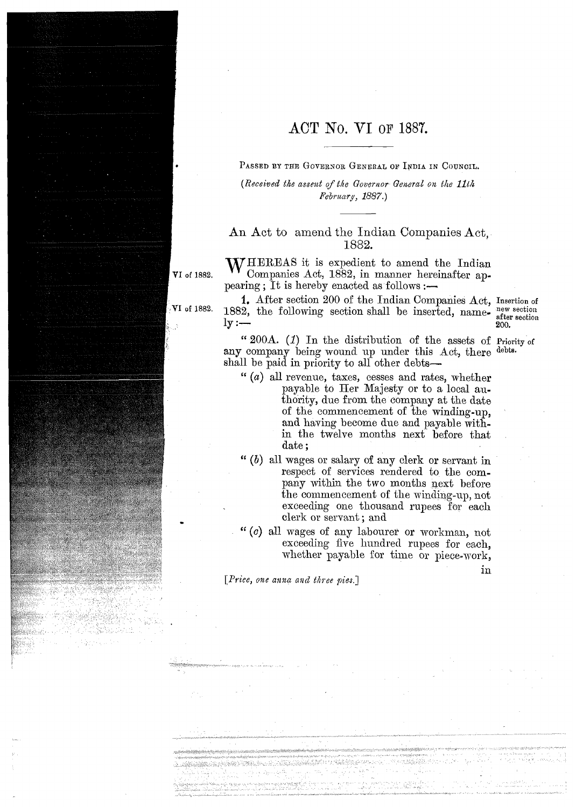## **ACT** No. VI OF 1887.

PASSED BY THE GOVERNOR GENERAL OF INDIA IN COUNCIL.

*(Received the assent of the Governor General on the 11th February, 1887.*)

## An Act to amend the Indian Companies Act, 1882.

WHEREAS it is expedient to amend the Indian Companies Act, 1882, in manner hereinafter ap-VI of 1882. pearing; It is hereby enacted as follows  $:$   $-$ 

> I. After section 200 of the Indian Companies Act, 1. After section 200 of the Indian Companies Act, Insertion of 1882, the following section shall be inserted, name $ly :=$

after section **200.** 

in

**cc** 2008. (I) In the distribution of the assets of Priority of any company being wound up under this Act, there debts. shall be paid in priority to all other debts-

- " (4) all revenue, taxes, cesses and rates, whether payable to Her Majesty or to a local authority, due from the company at the date of the commencement of the winding-up, and having become due and payable mithin the twelve months next before that date ;
- " *(b)* all wages or salary of any clerk or servant in respect of services rendered to the company within the two months next before the commencement of the winding-up, not exceeding one thousand rupees for each clerk or servant ; and
- **(c)** all wages of any labourer or workmaan, not exceeding five hundred rupees for each. whether payable for time or piece-work,

*[Priee, one anna ancl thee pies.]* 

VI of 1882.